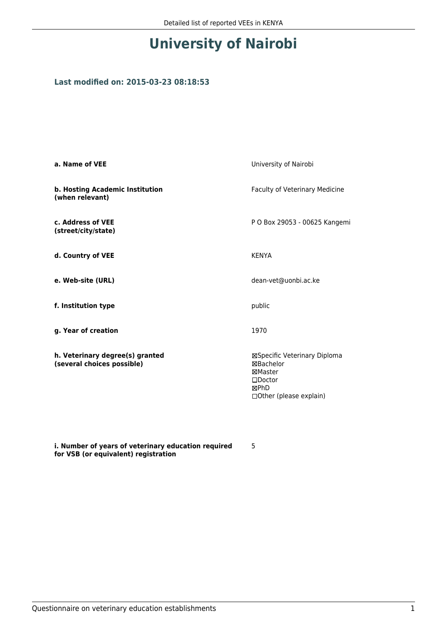## **University of Nairobi**

## **Last modified on: 2015-03-23 08:18:53**

| a. Name of VEE                                                | University of Nairobi                                                                                        |  |
|---------------------------------------------------------------|--------------------------------------------------------------------------------------------------------------|--|
| b. Hosting Academic Institution<br>(when relevant)            | Faculty of Veterinary Medicine                                                                               |  |
| c. Address of VEE<br>(street/city/state)                      | P O Box 29053 - 00625 Kangemi                                                                                |  |
| d. Country of VEE                                             | <b>KENYA</b>                                                                                                 |  |
| e. Web-site (URL)                                             | dean-vet@uonbi.ac.ke                                                                                         |  |
| f. Institution type                                           | public                                                                                                       |  |
| g. Year of creation                                           | 1970                                                                                                         |  |
| h. Veterinary degree(s) granted<br>(several choices possible) | ⊠Specific Veterinary Diploma<br>⊠Bachelor<br>⊠Master<br>$\square$ Doctor<br>⊠PhD<br>□ Other (please explain) |  |

**i. Number of years of veterinary education required for VSB (or equivalent) registration**

5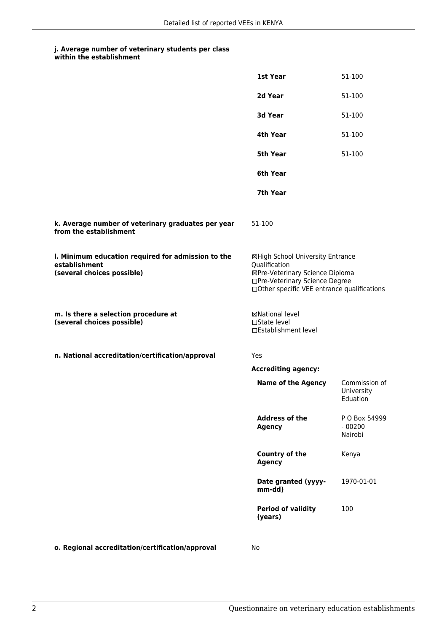## **j. Average number of veterinary students per class within the establishment**

|                                                                                                   | 1st Year                                                                                                                                                              | 51-100                                  |
|---------------------------------------------------------------------------------------------------|-----------------------------------------------------------------------------------------------------------------------------------------------------------------------|-----------------------------------------|
|                                                                                                   | 2d Year                                                                                                                                                               | 51-100                                  |
|                                                                                                   | <b>3d Year</b>                                                                                                                                                        | 51-100                                  |
|                                                                                                   | 4th Year                                                                                                                                                              | 51-100                                  |
|                                                                                                   | 5th Year                                                                                                                                                              | 51-100                                  |
|                                                                                                   | 6th Year                                                                                                                                                              |                                         |
|                                                                                                   | 7th Year                                                                                                                                                              |                                         |
| k. Average number of veterinary graduates per year<br>from the establishment                      | 51-100                                                                                                                                                                |                                         |
| I. Minimum education required for admission to the<br>establishment<br>(several choices possible) | ⊠High School University Entrance<br>Qualification<br>⊠Pre-Veterinary Science Diploma<br>□Pre-Veterinary Science Degree<br>□Other specific VEE entrance qualifications |                                         |
| m. Is there a selection procedure at<br>(several choices possible)                                | <b>⊠National level</b><br>□State level<br>□Establishment level                                                                                                        |                                         |
| n. National accreditation/certification/approval                                                  | Yes                                                                                                                                                                   |                                         |
|                                                                                                   | <b>Accrediting agency:</b>                                                                                                                                            |                                         |
|                                                                                                   | <b>Name of the Agency</b>                                                                                                                                             | Commission of<br>University<br>Eduation |
|                                                                                                   | <b>Address of the</b><br><b>Agency</b>                                                                                                                                | P O Box 54999<br>$-00200$<br>Nairobi    |
|                                                                                                   | <b>Country of the</b><br><b>Agency</b>                                                                                                                                | Kenya                                   |
|                                                                                                   | Date granted (yyyy-<br>mm-dd)                                                                                                                                         | 1970-01-01                              |
|                                                                                                   | <b>Period of validity</b><br>(years)                                                                                                                                  | 100                                     |
|                                                                                                   |                                                                                                                                                                       |                                         |

**o. Regional accreditation/certification/approval** No